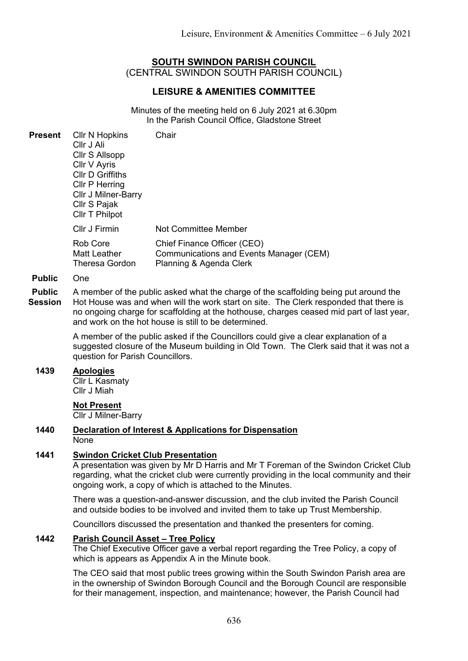# **SOUTH SWINDON PARISH COUNCIL**

(CENTRAL SWINDON SOUTH PARISH COUNCIL)

## **LEISURE & AMENITIES COMMITTEE**

Minutes of the meeting held on 6 July 2021 at 6.30pm In the Parish Council Office, Gladstone Street

| <b>Present</b> | Cllr N Hopkins<br>Cllr J Ali<br>Cllr S Allsopp<br>Cllr V Ayris<br><b>CIIr D Griffiths</b><br>Cllr P Herring<br><b>CIIr J Milner-Barry</b><br>Cllr S Pajak<br>Cllr T Philpot | Chair                                                                                             |
|----------------|-----------------------------------------------------------------------------------------------------------------------------------------------------------------------------|---------------------------------------------------------------------------------------------------|
|                | Cllr J Firmin                                                                                                                                                               | Not Committee Member                                                                              |
|                | Rob Core<br>Matt Leather<br>Theresa Gordon                                                                                                                                  | Chief Finance Officer (CEO)<br>Communications and Events Manager (CEM)<br>Planning & Agenda Clerk |

#### **Public** One

**Public Session** A member of the public asked what the charge of the scaffolding being put around the Hot House was and when will the work start on site. The Clerk responded that there is no ongoing charge for scaffolding at the hothouse, charges ceased mid part of last year, and work on the hot house is still to be determined.

> A member of the public asked if the Councillors could give a clear explanation of a suggested closure of the Museum building in Old Town. The Clerk said that it was not a question for Parish Councillors.

#### **1439 Apologies**

Cllr L Kasmaty Cllr J Miah

#### **Not Present**

Cllr J Milner-Barry

# **1440 Declaration of Interest & Applications for Dispensation**

None

#### **1441 Swindon Cricket Club Presentation**

A presentation was given by Mr D Harris and Mr T Foreman of the Swindon Cricket Club regarding, what the cricket club were currently providing in the local community and their ongoing work, a copy of which is attached to the Minutes.

There was a question-and-answer discussion, and the club invited the Parish Council and outside bodies to be involved and invited them to take up Trust Membership.

Councillors discussed the presentation and thanked the presenters for coming.

## **1442 Parish Council Asset – Tree Policy**

The Chief Executive Officer gave a verbal report regarding the Tree Policy, a copy of which is appears as Appendix A in the Minute book.

The CEO said that most public trees growing within the South Swindon Parish area are in the ownership of Swindon Borough Council and the Borough Council are responsible for their management, inspection, and maintenance; however, the Parish Council had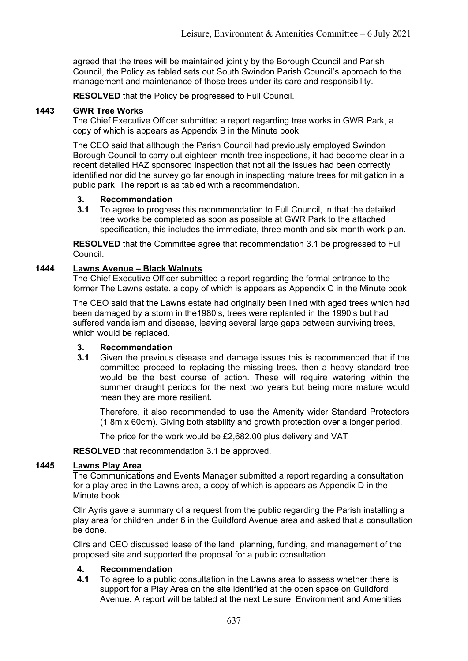agreed that the trees will be maintained jointly by the Borough Council and Parish Council, the Policy as tabled sets out South Swindon Parish Council's approach to the management and maintenance of those trees under its care and responsibility.

**RESOLVED** that the Policy be progressed to Full Council.

## **1443 GWR Tree Works**

The Chief Executive Officer submitted a report regarding tree works in GWR Park, a copy of which is appears as Appendix B in the Minute book.

The CEO said that although the Parish Council had previously employed Swindon Borough Council to carry out eighteen-month tree inspections, it had become clear in a recent detailed HAZ sponsored inspection that not all the issues had been correctly identified nor did the survey go far enough in inspecting mature trees for mitigation in a public park The report is as tabled with a recommendation.

#### **3. Recommendation**

**3.1** To agree to progress this recommendation to Full Council, in that the detailed tree works be completed as soon as possible at GWR Park to the attached specification, this includes the immediate, three month and six-month work plan.

**RESOLVED** that the Committee agree that recommendation 3.1 be progressed to Full Council.

## **1444 Lawns Avenue – Black Walnuts**

The Chief Executive Officer submitted a report regarding the formal entrance to the former The Lawns estate. a copy of which is appears as Appendix C in the Minute book.

The CEO said that the Lawns estate had originally been lined with aged trees which had been damaged by a storm in the1980's, trees were replanted in the 1990's but had suffered vandalism and disease, leaving several large gaps between surviving trees, which would be replaced.

#### **3. Recommendation**

**3.1** Given the previous disease and damage issues this is recommended that if the committee proceed to replacing the missing trees, then a heavy standard tree would be the best course of action. These will require watering within the summer draught periods for the next two years but being more mature would mean they are more resilient.

Therefore, it also recommended to use the Amenity wider Standard Protectors (1.8m x 60cm). Giving both stability and growth protection over a longer period.

The price for the work would be £2,682.00 plus delivery and VAT

**RESOLVED** that recommendation 3.1 be approved.

#### **1445 Lawns Play Area**

The Communications and Events Manager submitted a report regarding a consultation for a play area in the Lawns area, a copy of which is appears as Appendix D in the Minute book.

Cllr Ayris gave a summary of a request from the public regarding the Parish installing a play area for children under 6 in the Guildford Avenue area and asked that a consultation be done.

Cllrs and CEO discussed lease of the land, planning, funding, and management of the proposed site and supported the proposal for a public consultation.

## **4. Recommendation**

**4.1** To agree to a public consultation in the Lawns area to assess whether there is support for a Play Area on the site identified at the open space on Guildford Avenue. A report will be tabled at the next Leisure, Environment and Amenities